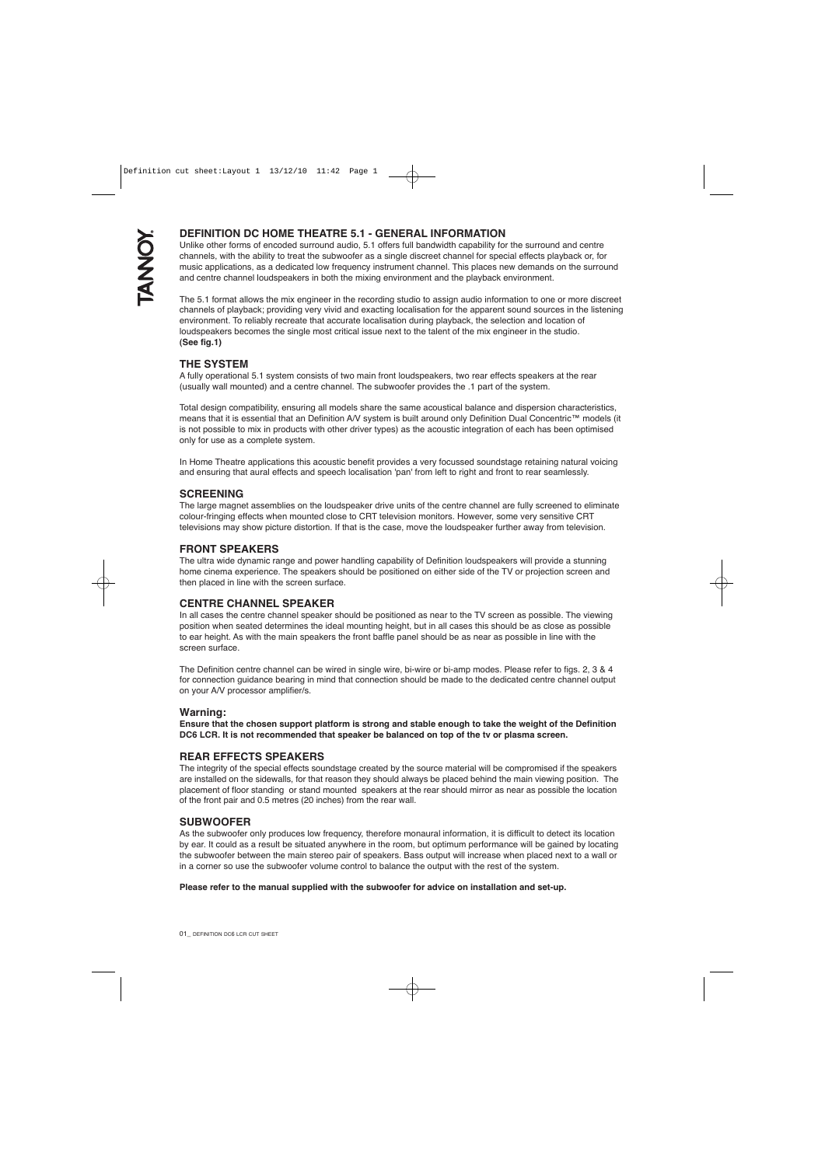# **DEFINITION DC HOME THEATRE 5.1 - GENERAL INFORMATION**

Unlike other forms of encoded surround audio, 5.1 offers full bandwidth capability for the surround and centre channels, with the ability to treat the subwoofer as a single discreet channel for special effects playback or, for music applications, as a dedicated low frequency instrument channel. This places new demands on the surround and centre channel loudspeakers in both the mixing environment and the playback environment.

The 5.1 format allows the mix engineer in the recording studio to assign audio information to one or more discreet channels of playback; providing very vivid and exacting localisation for the apparent sound sources in the listening environment. To reliably recreate that accurate localisation during playback, the selection and location of loudspeakers becomes the single most critical issue next to the talent of the mix engineer in the studio. **(See fig.1)**

# **THE SYSTEM**

A fully operational 5.1 system consists of two main front loudspeakers, two rear effects speakers at the rear (usually wall mounted) and a centre channel. The subwoofer provides the .1 part of the system.

Total design compatibility, ensuring all models share the same acoustical balance and dispersion characteristics, means that it is essential that an Definition A/V system is built around only Definition Dual Concentric™ models (it is not possible to mix in products with other driver types) as the acoustic integration of each has been optimised only for use as a complete system.

In Home Theatre applications this acoustic benefit provides a very focussed soundstage retaining natural voicing and ensuring that aural effects and speech localisation 'pan' from left to right and front to rear seamlessly.

# **SCREENING**

The large magnet assemblies on the loudspeaker drive units of the centre channel are fully screened to eliminate colour-fringing effects when mounted close to CRT television monitors. However, some very sensitive CRT televisions may show picture distortion. If that is the case, move the loudspeaker further away from television.

## **FRONT SPEAKERS**

The ultra wide dynamic range and power handling capability of Definition loudspeakers will provide a stunning home cinema experience. The speakers should be positioned on either side of the TV or projection screen and then placed in line with the screen surface.

# **CENTRE CHANNEL SPEAKER**

In all cases the centre channel speaker should be positioned as near to the TV screen as possible. The viewing position when seated determines the ideal mounting height, but in all cases this should be as close as possible to ear height. As with the main speakers the front baffle panel should be as near as possible in line with the screen surface.

The Definition centre channel can be wired in single wire, bi-wire or bi-amp modes. Please refer to figs. 2, 3 & 4 for connection guidance bearing in mind that connection should be made to the dedicated centre channel output on your A/V processor amplifier/s.

## **Warning:**

**Ensure that the chosen support platform is strong and stable enough to take the weight of the Definition DC6 LCR. It is not recommended that speaker be balanced on top of the tv or plasma screen.**

## **REAR EFFECTS SPEAKERS**

The integrity of the special effects soundstage created by the source material will be compromised if the speakers are installed on the sidewalls, for that reason they should always be placed behind the main viewing position. The placement of floor standing or stand mounted speakers at the rear should mirror as near as possible the location of the front pair and 0.5 metres (20 inches) from the rear wall.

## **SUBWOOFER**

As the subwoofer only produces low frequency, therefore monaural information, it is difficult to detect its location by ear. It could as a result be situated anywhere in the room, but optimum performance will be gained by locating the subwoofer between the main stereo pair of speakers. Bass output will increase when placed next to a wall or in a corner so use the subwoofer volume control to balance the output with the rest of the system.

#### **Please refer to the manual supplied with the subwoofer for advice on installation and set-up.**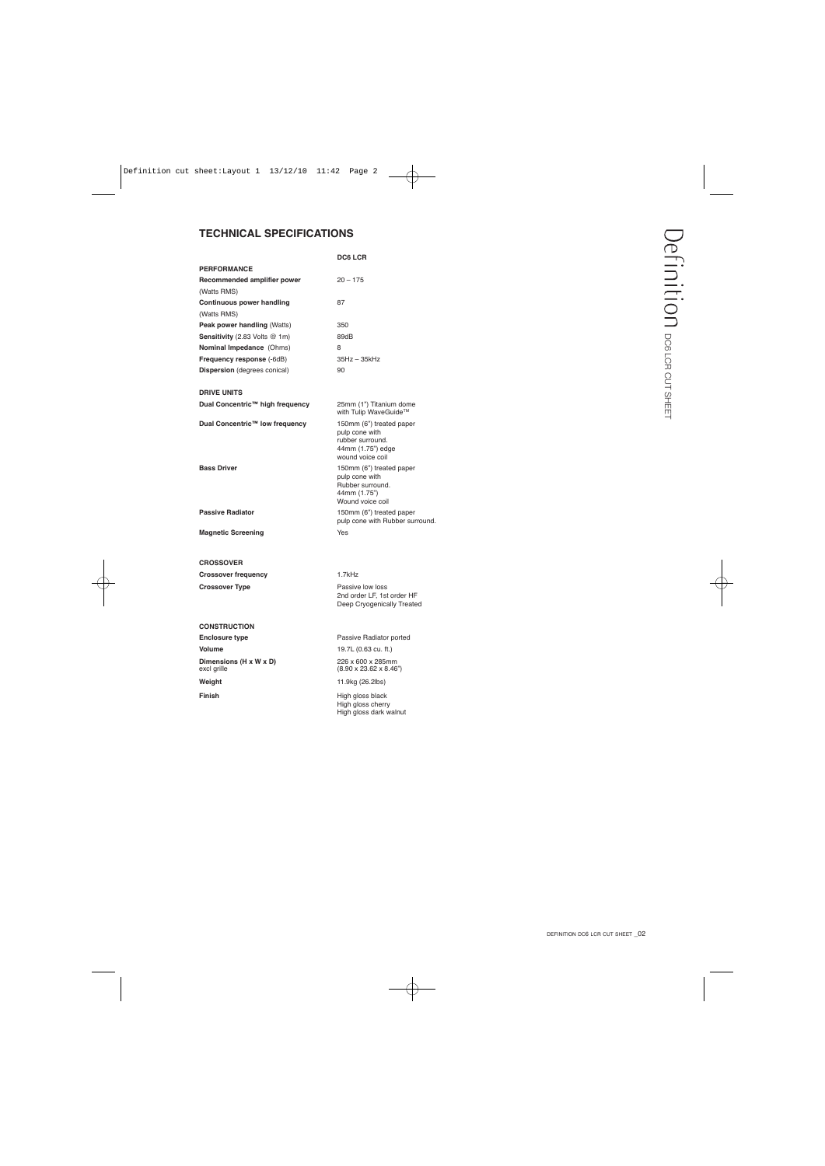# **TECHNICAL SPECIFICATIONS**

|                                        | <b>DC6 LCR</b>                                                                                          |
|----------------------------------------|---------------------------------------------------------------------------------------------------------|
| <b>PERFORMANCE</b>                     |                                                                                                         |
| Recommended amplifier power            | $20 - 175$                                                                                              |
| (Watts RMS)                            |                                                                                                         |
| Continuous power handling              | 87                                                                                                      |
| (Watts RMS)                            |                                                                                                         |
| Peak power handling (Watts)            | 350                                                                                                     |
| <b>Sensitivity</b> (2.83 Volts $@$ 1m) | 89dB                                                                                                    |
| Nominal Impedance (Ohms)               | 8                                                                                                       |
| Frequency response (-6dB)              | 35Hz - 35kHz                                                                                            |
| <b>Dispersion</b> (degrees conical)    | 90                                                                                                      |
| <b>DRIVE UNITS</b>                     |                                                                                                         |
| Dual Concentric™ high frequency        | 25mm (1") Titanium dome<br>with Tulip WaveGuide™                                                        |
| Dual Concentric™ low frequency         | 150mm (6") treated paper<br>pulp cone with<br>rubber surround.<br>44mm (1.75") edge<br>wound voice coil |
| <b>Bass Driver</b>                     | 150mm (6") treated paper<br>pulp cone with<br>Rubber surround.<br>44mm (1.75")<br>Wound voice coil      |
| <b>Passive Radiator</b>                | 150mm (6") treated paper<br>pulp cone with Rubber surround.                                             |
| <b>Magnetic Screening</b>              | Yes                                                                                                     |
| <b>CROSSOVER</b>                       |                                                                                                         |
| <b>Crossover frequency</b>             | 1.7kHz                                                                                                  |
| <b>Crossover Type</b>                  | Passive low loss<br>2nd order LF, 1st order HF<br>Deep Cryogenically Treated                            |
| <b>CONSTRUCTION</b>                    |                                                                                                         |
| <b>Enclosure type</b>                  | Passive Radiator ported                                                                                 |
| Volume                                 | 19.7L (0.63 cu. ft.)                                                                                    |
| Dimensions (H x W x D)<br>excl grille  | 226 x 600 x 285mm<br>$(8.90 \times 23.62 \times 8.46")$                                                 |
| Weight                                 | 11.9kg (26.2lbs)                                                                                        |
| Finish                                 | High gloss black                                                                                        |

High gloss cherry High gloss dark walnut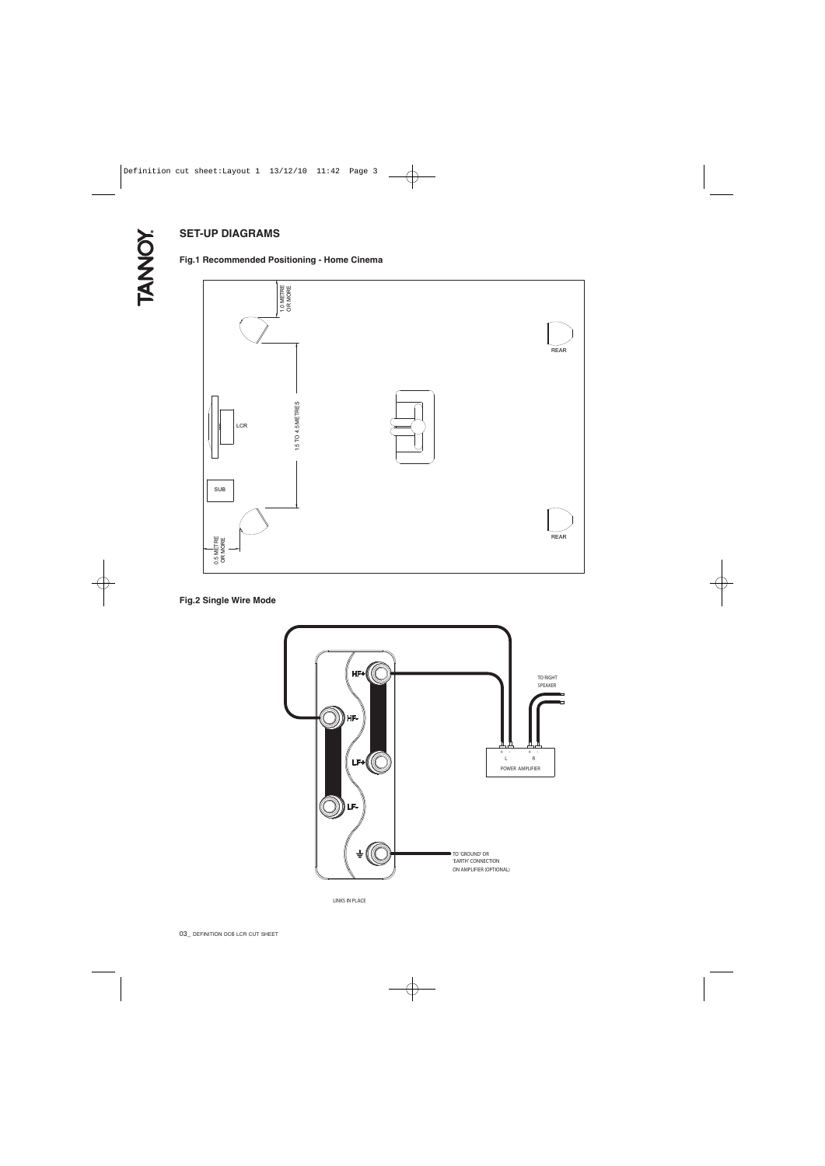# **SET-UP DIAGRAMS**

## **Fig.1 Recommended Positioning - Home Cinema**



## **Fig.2 Single Wire Mode**



LINKS IN PLACE